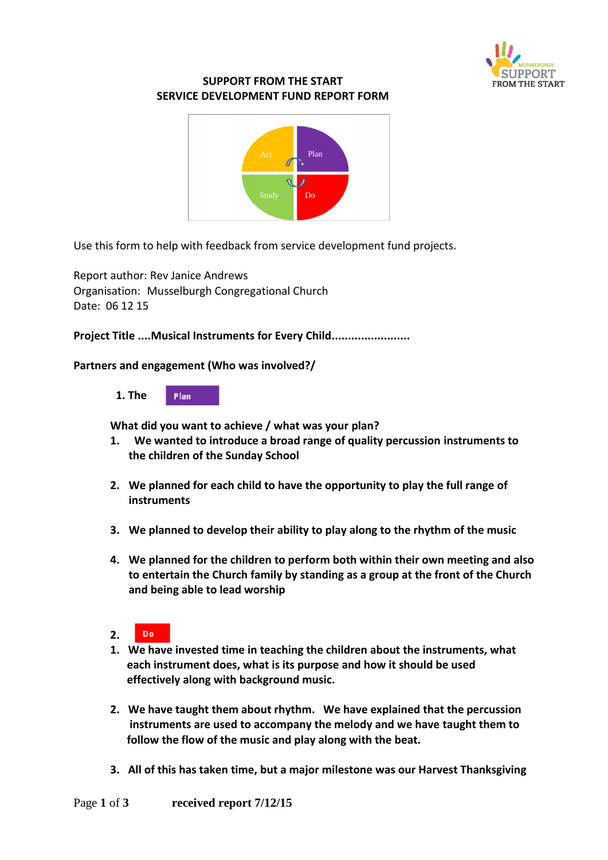

## **SUPPORT FROM THE START SERVICE DEVELOPMENT FUND REPORT FORM**



Use this form to help with feedback from service development fund projects.

Report author: Rev Janice Andrews Organisation: Musselburgh Congregational Church Date: 06 12 15

**Project Title ....Musical Instruments for Every Child........................**

## **Partners and engagement (Who was involved?/**



**What did you want to achieve / what was your plan?**

- **1. We wanted to introduce a broad range of quality percussion instruments to the children of the Sunday School**
- **2. We planned for each child to have the opportunity to play the full range of instruments**
- **3. We planned to develop their ability to play along to the rhythm of the music**
- **4. We planned for the children to perform both within their own meeting and also to entertain the Church family by standing as a group at the front of the Church and being able to lead worship**
- **2.**  Do
- **1. We have invested time in teaching the children about the instruments, what each instrument does, what is its purpose and how it should be used effectively along with background music.**
- **2. We have taught them about rhythm. We have explained that the percussion instruments are used to accompany the melody and we have taught them to follow the flow of the music and play along with the beat.**
- **3. All of this has taken time, but a major milestone was our Harvest Thanksgiving**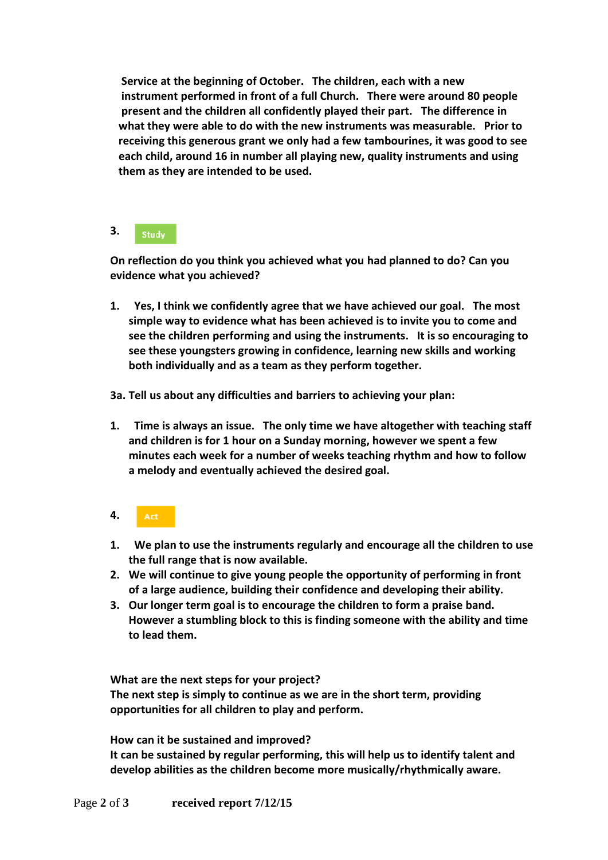**Service at the beginning of October. The children, each with a new instrument performed in front of a full Church. There were around 80 people present and the children all confidently played their part. The difference in what they were able to do with the new instruments was measurable. Prior to receiving this generous grant we only had a few tambourines, it was good to see each child, around 16 in number all playing new, quality instruments and using them as they are intended to be used.**

## **3. Study**

**On reflection do you think you achieved what you had planned to do? Can you evidence what you achieved?** 

- **1. Yes, I think we confidently agree that we have achieved our goal. The most simple way to evidence what has been achieved is to invite you to come and see the children performing and using the instruments. It is so encouraging to see these youngsters growing in confidence, learning new skills and working both individually and as a team as they perform together.**
- **3a. Tell us about any difficulties and barriers to achieving your plan:**
- **1. Time is always an issue. The only time we have altogether with teaching staff and children is for 1 hour on a Sunday morning, however we spent a few minutes each week for a number of weeks teaching rhythm and how to follow a melody and eventually achieved the desired goal.**
- **4.**  Act
- **1. We plan to use the instruments regularly and encourage all the children to use the full range that is now available.**
- **2. We will continue to give young people the opportunity of performing in front of a large audience, building their confidence and developing their ability.**
- **3. Our longer term goal is to encourage the children to form a praise band. However a stumbling block to this is finding someone with the ability and time to lead them.**

**What are the next steps for your project?**

**The next step is simply to continue as we are in the short term, providing opportunities for all children to play and perform.**

**How can it be sustained and improved?**

**It can be sustained by regular performing, this will help us to identify talent and develop abilities as the children become more musically/rhythmically aware.**